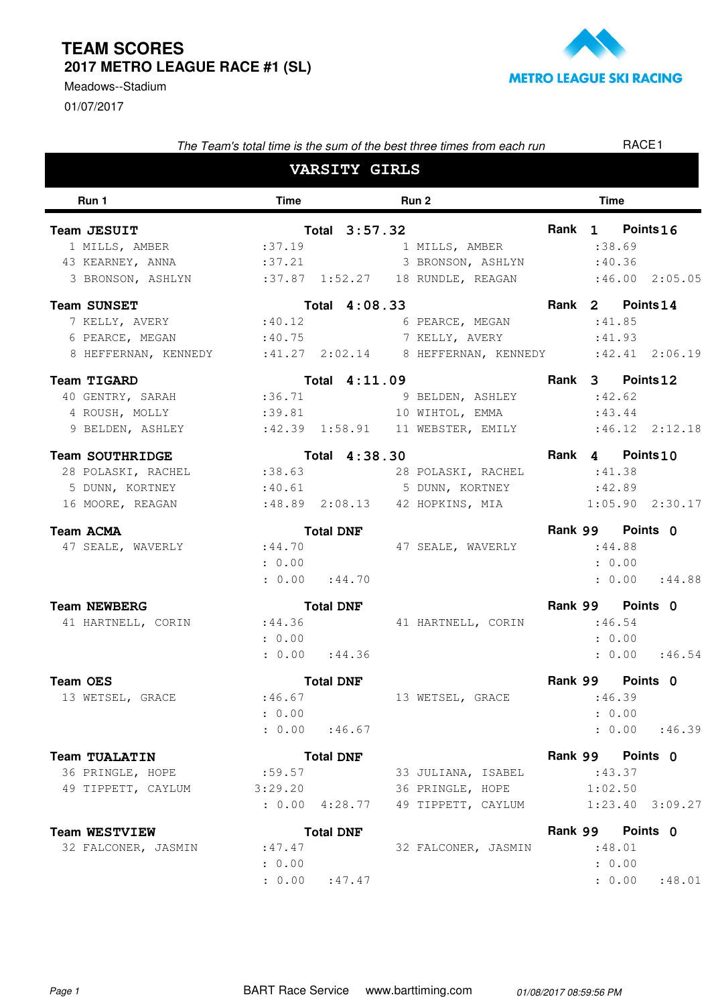## **TEAM SCORES 2017 METRO LEAGUE RACE #1 (SL)**





| The Team's total time is the sum of the best three times from each run    |                      |                      |  |                                      |             | RACE <sub>1</sub> |                     |  |  |
|---------------------------------------------------------------------------|----------------------|----------------------|--|--------------------------------------|-------------|-------------------|---------------------|--|--|
|                                                                           |                      | <b>VARSITY GIRLS</b> |  |                                      |             |                   |                     |  |  |
| Run 1                                                                     | Run 2<br><b>Time</b> |                      |  |                                      | <b>Time</b> |                   |                     |  |  |
| Team JESUIT                                                               |                      | Total 3:57.32        |  |                                      |             |                   | Rank 1 Points 16    |  |  |
| 1 MILLS, AMBER                                                            | :37.19               |                      |  | 1 MILLS, AMBER                       |             | : 38.69           |                     |  |  |
| 43 KEARNEY, ANNA                                                          | :37.21               |                      |  | 3 BRONSON, ASHLYN                    |             | :40.36            |                     |  |  |
| 3 BRONSON, ASHLYN :37.87 1:52.27 18 RUNDLE, REAGAN :46.00 2:05.05         |                      |                      |  |                                      |             |                   |                     |  |  |
| <b>Team SUNSET</b>                                                        |                      | Total 4:08.33        |  |                                      |             |                   | Rank 2 Points 14    |  |  |
| 7 KELLY, AVERY :40.12                                                     |                      |                      |  | 6 PEARCE, MEGAN                      |             | :41.85            |                     |  |  |
| 6 PEARCE, MEGAN                                                           |                      |                      |  | :40.75 7 KELLY, AVERY                |             | :41.93            |                     |  |  |
| 8 HEFFERNAN, KENNEDY : 41.27 2:02.14 8 HEFFERNAN, KENNEDY : 42.41 2:06.19 |                      |                      |  |                                      |             |                   |                     |  |  |
| Team TIGARD                                                               |                      | Total 4:11.09        |  |                                      |             |                   | Rank 3 Points 12    |  |  |
| 40 GENTRY, SARAH :36.71                                                   |                      |                      |  | 9 BELDEN, ASHLEY                     |             | :42.62            |                     |  |  |
| 4 ROUSH, MOLLY                                                            |                      |                      |  | :39.81 10 WIHTOL, EMMA               |             | :43.44            |                     |  |  |
| 9 BELDEN, ASHLEY : 42.39 1:58.91 11 WEBSTER, EMILY : 46.12 2:12.18        |                      |                      |  |                                      |             |                   |                     |  |  |
| <b>Team SOUTHRIDGE</b>                                                    |                      | Total 4:38.30        |  |                                      |             |                   | Rank 4 Points 10    |  |  |
| 28 POLASKI, RACHEL                                                        |                      |                      |  | $:38.63$ 28 POLASKI, RACHEL $:41.38$ |             |                   |                     |  |  |
| 5 DUNN, KORTNEY                                                           |                      |                      |  | :40.61 5 DUNN, KORTNEY :42.89        |             |                   |                     |  |  |
| 16 MOORE, REAGAN                                                          |                      |                      |  |                                      |             |                   |                     |  |  |
| <b>Team ACMA</b>                                                          |                      | <b>Total DNF</b>     |  |                                      |             |                   | Rank 99 Points 0    |  |  |
| 47 SEALE, WAVERLY                                                         | : 44.70              |                      |  | 47 SEALE, WAVERLY                    |             | : 44.88           |                     |  |  |
|                                                                           | : 0.00               |                      |  |                                      |             |                   | : 0.00              |  |  |
|                                                                           |                      | : 0.00 : 44.70       |  |                                      |             |                   | : 0.00 : 44.88      |  |  |
| <b>Team NEWBERG</b>                                                       |                      | <b>Total DNF</b>     |  |                                      |             |                   | Rank 99 Points 0    |  |  |
| 41 HARTNELL, CORIN                                                        | : 44.36              |                      |  | 41 HARTNELL, CORIN                   |             | :46.54            |                     |  |  |
|                                                                           | : 0.00               |                      |  |                                      |             |                   | : 0.00              |  |  |
|                                                                           |                      | : 0.00 : 44.36       |  |                                      |             |                   | : 0.00 : 46.54      |  |  |
| <b>Team OES</b>                                                           |                      | <b>Total DNF</b>     |  |                                      |             |                   | Rank 99 Points 0    |  |  |
| 13 WETSEL, GRACE                                                          | :46.67               |                      |  | 13 WETSEL, GRACE                     |             |                   | :46.39              |  |  |
|                                                                           | : 0.00               |                      |  |                                      |             |                   | : 0.00              |  |  |
|                                                                           |                      | : 0.00 : 46.67       |  |                                      |             |                   | : 0.00 : 46.39      |  |  |
| <b>Team TUALATIN</b>                                                      |                      | <b>Total DNF</b>     |  |                                      |             |                   | Rank 99 Points 0    |  |  |
| 36 PRINGLE, HOPE                                                          | :59.57               |                      |  | 33 JULIANA, ISABEL                   |             | : 43.37           |                     |  |  |
| 49 TIPPETT, CAYLUM                                                        | 3:29.20              |                      |  | 36 PRINGLE, HOPE                     |             | 1:02.50           |                     |  |  |
|                                                                           |                      | $: 0.00$ 4:28.77     |  | 49 TIPPETT, CAYLUM                   |             |                   | $1:23.40$ $3:09.27$ |  |  |
| <b>Team WESTVIEW</b>                                                      |                      | <b>Total DNF</b>     |  |                                      |             |                   | Rank 99 Points 0    |  |  |
| 32 FALCONER, JASMIN                                                       | :47.47               |                      |  | 32 FALCONER, JASMIN                  |             | :48.01            |                     |  |  |
|                                                                           | : 0.00               |                      |  |                                      |             | : 0.00            |                     |  |  |

 $: 0.00$   $: 47.47$ 

 $: 47.47$  :  $0.00$  :  $48.01$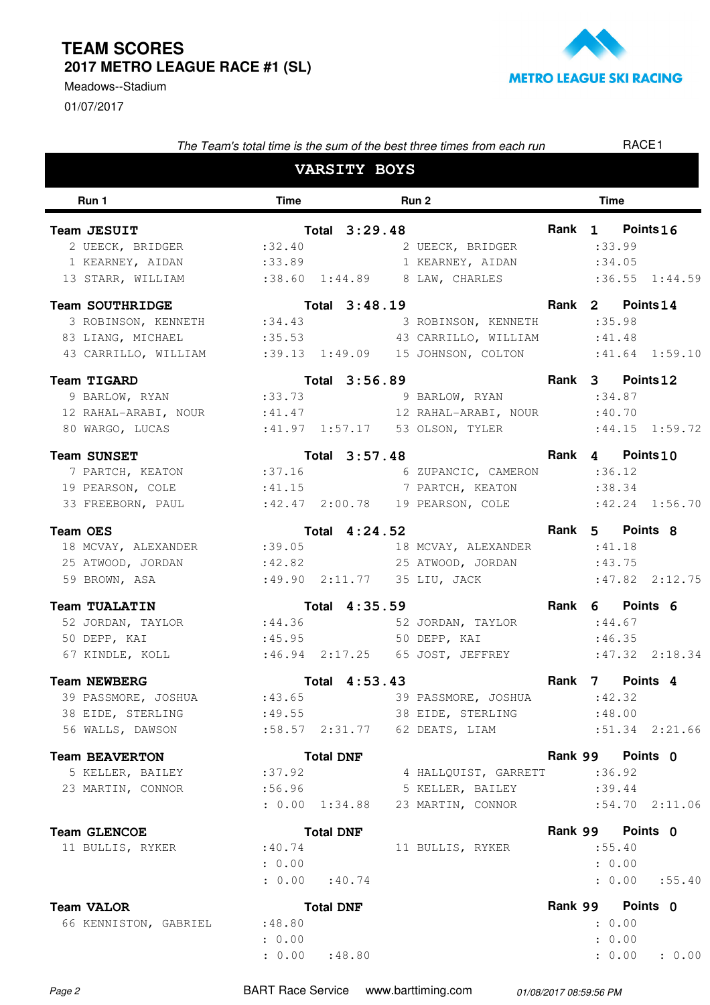## **TEAM SCORES 2017 METRO LEAGUE RACE #1 (SL)**

01/07/2017 Meadows--Stadium



| The Team's total time is the sum of the best three times from each run |                                 |  |                  |             |                                    |  |        | RACE <sub>1</sub> |                     |  |
|------------------------------------------------------------------------|---------------------------------|--|------------------|-------------|------------------------------------|--|--------|-------------------|---------------------|--|
| <b>VARSITY BOYS</b>                                                    |                                 |  |                  |             |                                    |  |        |                   |                     |  |
| Run 1                                                                  | <b>Time</b><br>Run <sub>2</sub> |  |                  | <b>Time</b> |                                    |  |        |                   |                     |  |
| Team JESUIT                                                            |                                 |  | Total 3:29.48    |             |                                    |  |        | Rank 1 Points 16  |                     |  |
| 2 UEECK, BRIDGER :32.40                                                |                                 |  |                  |             | 2 UEECK, BRIDGER                   |  |        | : 33.99           |                     |  |
| 1 KEARNEY, AIDAN : 33.89                                               |                                 |  |                  |             | 1 KEARNEY, AIDAN                   |  |        | :34.05            |                     |  |
| 13 STARR, WILLIAM                                                      |                                 |  |                  |             | :38.60 1:44.89 8 LAW, CHARLES      |  |        |                   | $:36.55$ $1:44.59$  |  |
| <b>Team SOUTHRIDGE</b>                                                 |                                 |  | Total 3:48.19    |             |                                    |  | Rank 2 |                   | Points 14           |  |
| 3 ROBINSON, KENNETH : 34.43                                            |                                 |  |                  |             | 3 ROBINSON, KENNETH                |  |        | :35.98            |                     |  |
| 83 LIANG, MICHAEL                                                      | :35.53                          |  |                  |             | 43 CARRILLO, WILLIAM               |  |        | :41.48            |                     |  |
| 43 CARRILLO, WILLIAM :39.13 1:49.09                                    |                                 |  |                  |             | 15 JOHNSON, COLTON : 41.64 1:59.10 |  |        |                   |                     |  |
| Team TIGARD                                                            |                                 |  | Total 3:56.89    |             |                                    |  |        | Rank 3 Points 12  |                     |  |
| 9 BARLOW, RYAN                                                         | : 33.73                         |  |                  |             | 9 BARLOW, RYAN                     |  |        | : 34.87           |                     |  |
| 12 RAHAL-ARABI, NOUR : 41.47                                           |                                 |  |                  |             | 12 RAHAL-ARABI, NOUR               |  |        | :40.70            |                     |  |
| 80 WARGO, LUCAS                                                        |                                 |  |                  |             |                                    |  |        |                   | $:44.15$ $1:59.72$  |  |
| <b>Team SUNSET</b>                                                     |                                 |  | Total 3:57.48    |             |                                    |  |        | Rank 4 Points 10  |                     |  |
| 7 PARTCH, KEATON :37.16                                                |                                 |  |                  |             | 6 ZUPANCIC, CAMERON                |  |        | : 36.12           |                     |  |
| 19 PEARSON, COLE : 41.15 7 PARTCH, KEATON                              |                                 |  |                  |             |                                    |  |        | : 38.34           |                     |  |
| 33 FREEBORN, PAUL :42.47 2:00.78 19 PEARSON, COLE :42.24 1:56.70       |                                 |  |                  |             |                                    |  |        |                   |                     |  |
| <b>Team OES</b>                                                        |                                 |  | Total 4:24.52    |             |                                    |  |        | Rank 5 Points 8   |                     |  |
| 18 MCVAY, ALEXANDER                                                    | : 39.05                         |  |                  |             | 18 MCVAY, ALEXANDER                |  |        | :41.18            |                     |  |
| 25 ATWOOD, JORDAN                                                      |                                 |  |                  |             | :42.82 25 ATWOOD, JORDAN           |  |        | :43.75            |                     |  |
| 59 BROWN, ASA                                                          |                                 |  |                  |             | :49.90 2:11.77 35 LIU, JACK        |  |        |                   | $:47.82$ $2:12.75$  |  |
| <b>Team TUALATIN</b>                                                   |                                 |  | Total 4:35.59    |             |                                    |  | Rank 6 |                   | Points 6            |  |
| 52 JORDAN, TAYLOR                                                      | : 44.36                         |  |                  |             | 52 JORDAN, TAYLOR                  |  |        | : 44.67           |                     |  |
| 50 DEPP, KAI                                                           | : 45.95                         |  |                  |             | 50 DEPP, KAI                       |  |        | :46.35            |                     |  |
| 67 KINDLE, KOLL                                                        |                                 |  |                  |             |                                    |  |        |                   | $:47.32$ $2:18.34$  |  |
| <b>Team NEWBERG</b>                                                    |                                 |  | Total 4:53.43    |             |                                    |  | Rank 7 |                   | Points <sub>4</sub> |  |
| 39 PASSMORE, JOSHUA :43.65                                             |                                 |  |                  |             | 39 PASSMORE, JOSHUA                |  |        | :42.32            |                     |  |
| 38 EIDE, STERLING                                                      | : 49.55                         |  |                  |             | 38 EIDE, STERLING                  |  |        | :48.00            |                     |  |
| 56 WALLS, DAWSON                                                       | $:58.57$ 2:31.77                |  |                  |             | 62 DEATS, LIAM                     |  |        |                   | $:51.34$ $2:21.66$  |  |
| <b>Team BEAVERTON</b>                                                  |                                 |  | <b>Total DNF</b> |             |                                    |  |        | Rank 99 Points 0  |                     |  |
| 5 KELLER, BAILEY                                                       | :37.92                          |  |                  |             | 4 HALLQUIST, GARRETT               |  |        | : 36.92           |                     |  |
| 23 MARTIN, CONNOR                                                      | :56.96                          |  |                  |             | 5 KELLER, BAILEY                   |  |        | : 39.44           |                     |  |
|                                                                        | : 0.00 1:34.88                  |  |                  |             | 23 MARTIN, CONNOR                  |  |        |                   | $:54.70$ $2:11.06$  |  |
| <b>Team GLENCOE</b>                                                    |                                 |  | <b>Total DNF</b> |             |                                    |  |        | Rank 99 Points 0  |                     |  |
| 11 BULLIS, RYKER                                                       | :40.74                          |  |                  |             | 11 BULLIS, RYKER                   |  |        | :55.40            |                     |  |
|                                                                        | : 0.00                          |  |                  |             |                                    |  |        | : 0.00            |                     |  |
|                                                                        | $: 0.00$ : 40.74                |  |                  |             |                                    |  |        |                   | : 0.00 : 55.40      |  |
| <b>Team VALOR</b>                                                      |                                 |  | <b>Total DNF</b> |             |                                    |  |        | Rank 99 Points 0  |                     |  |
| 66 KENNISTON, GABRIEL                                                  | :48.80                          |  |                  |             |                                    |  |        | : 0.00            |                     |  |
|                                                                        | : 0.00                          |  |                  |             |                                    |  |        | : 0.00            |                     |  |

Page 2 **BART Race Service** www.barttiming.com 01/08/2017 08:59:56 PM

: 0.00

: 48.80 : 0.00 : 0.00